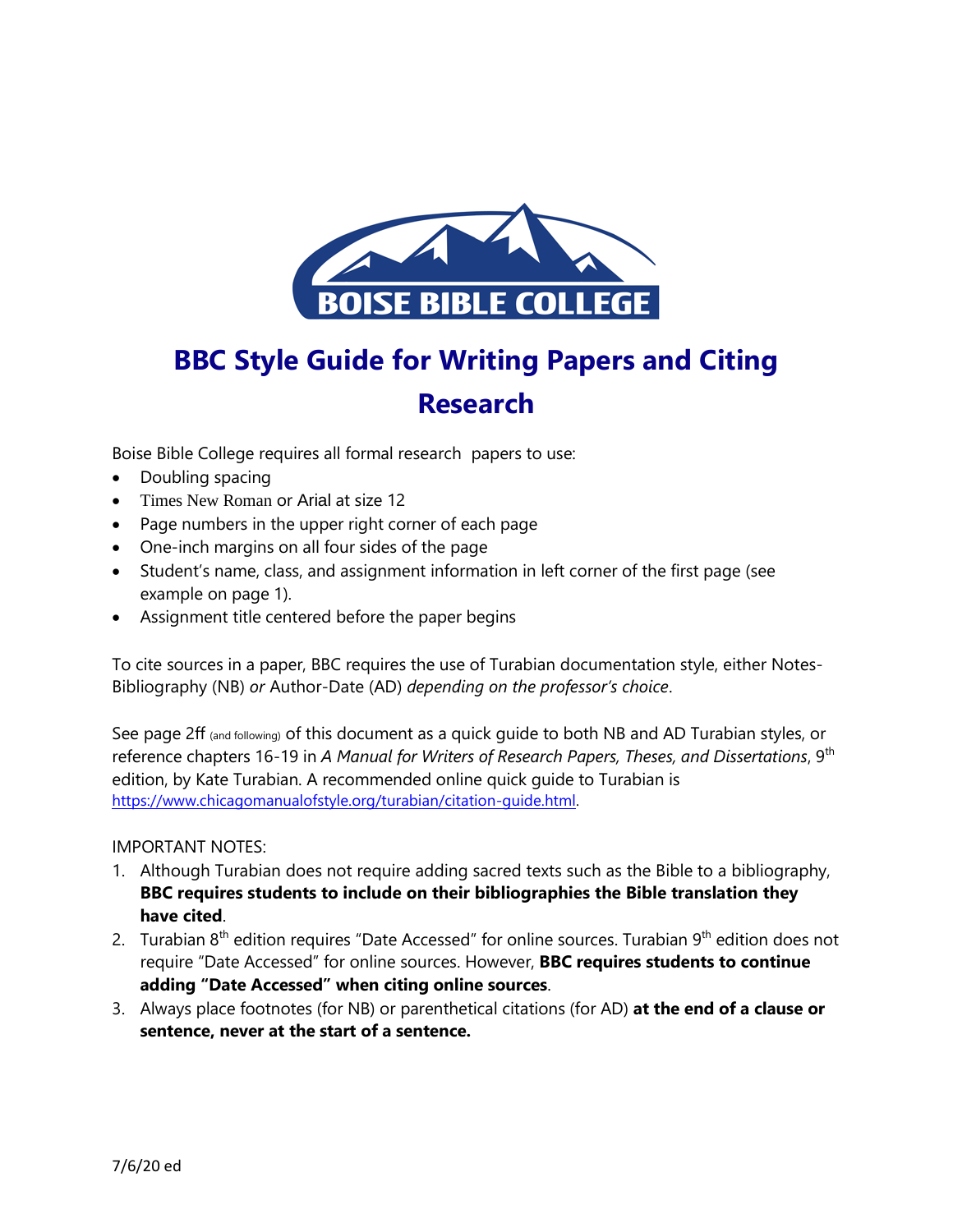

# **BBC Style Guide for Writing Papers and Citing Research**

Boise Bible College requires all formal research papers to use:

- Doubling spacing
- Times New Roman or Arial at size 12
- Page numbers in the upper right corner of each page
- One-inch margins on all four sides of the page
- Student's name, class, and assignment information in left corner of the first page (see example on page 1).
- Assignment title centered before the paper begins

To cite sources in a paper, BBC requires the use of Turabian documentation style, either Notes-Bibliography (NB) *or* Author-Date (AD) *depending on the professor's choice*.

See page 2ff (and following) of this document as a quick guide to both NB and AD Turabian styles, or reference chapters 16-19 in *A Manual for Writers of Research Papers, Theses, and Dissertations*, 9th edition, by Kate Turabian. A recommended online quick guide to Turabian is [https://www.chicagomanualofstyle.org/turabian/citation-guide.html.](https://www.chicagomanualofstyle.org/turabian/citation-guide.html)

## IMPORTANT NOTES:

- 1. Although Turabian does not require adding sacred texts such as the Bible to a bibliography, **BBC requires students to include on their bibliographies the Bible translation they have cited**.
- 2. Turabian  $8<sup>th</sup>$  edition requires "Date Accessed" for online sources. Turabian  $9<sup>th</sup>$  edition does not require "Date Accessed" for online sources. However, **BBC requires students to continue adding "Date Accessed" when citing online sources**.
- 3. Always place footnotes (for NB) or parenthetical citations (for AD) **at the end of a clause or sentence, never at the start of a sentence.**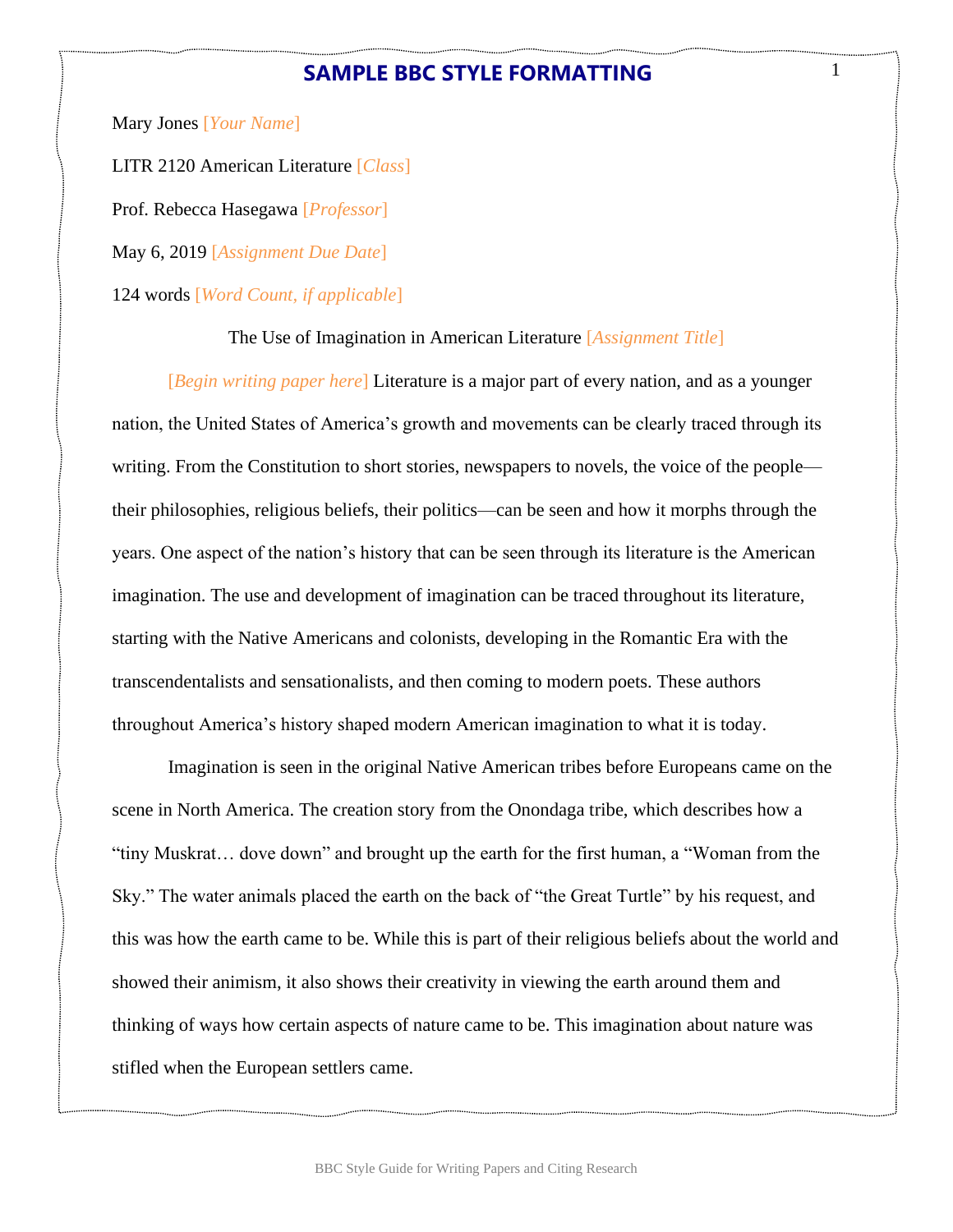# **SAMPLE BBC STYLE FORMATTING**

1

Mary Jones [*Your Name*]

LITR 2120 American Literature [*Class*]

Prof. Rebecca Hasegawa [*Professor*]

May 6, 2019 [*Assignment Due Date*]

124 words [*Word Count, if applicable*]

The Use of Imagination in American Literature [*Assignment Title*]

[*Begin writing paper here*] Literature is a major part of every nation, and as a younger nation, the United States of America's growth and movements can be clearly traced through its writing. From the Constitution to short stories, newspapers to novels, the voice of the people their philosophies, religious beliefs, their politics—can be seen and how it morphs through the years. One aspect of the nation's history that can be seen through its literature is the American imagination. The use and development of imagination can be traced throughout its literature, starting with the Native Americans and colonists, developing in the Romantic Era with the transcendentalists and sensationalists, and then coming to modern poets. These authors throughout America's history shaped modern American imagination to what it is today.

Imagination is seen in the original Native American tribes before Europeans came on the scene in North America. The creation story from the Onondaga tribe, which describes how a "tiny Muskrat… dove down" and brought up the earth for the first human, a "Woman from the Sky." The water animals placed the earth on the back of "the Great Turtle" by his request, and this was how the earth came to be. While this is part of their religious beliefs about the world and showed their animism, it also shows their creativity in viewing the earth around them and thinking of ways how certain aspects of nature came to be. This imagination about nature was stifled when the European settlers came.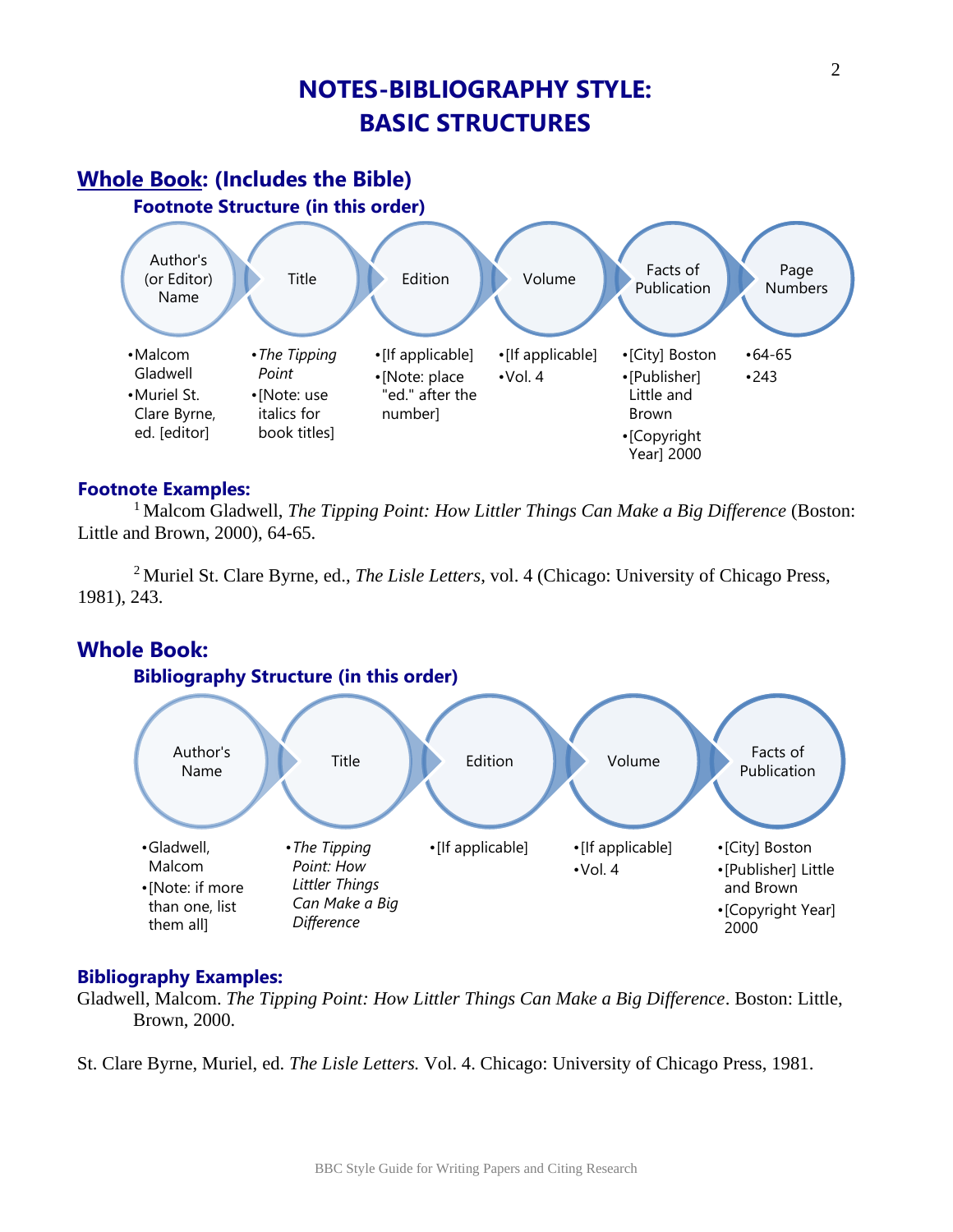# **NOTES-BIBLIOGRAPHY STYLE: BASIC STRUCTURES**

#### Page Numbers •64-65 •243 Facts of Publication •[City] Boston •[Publisher] Little and Brown •[Copyright Year] 2000 Volume •[If applicable] •Vol. 4 Edition •[If applicable] •[Note: place "ed." after the number] Title •*The Tipping Point* •[Note: use italics for book titles] Author's (or Editor) Name •Malcom Gladwell •Muriel St. Clare Byrne, ed. [editor] **Whole Book: (Includes the Bible) Footnote Structure (in this order)**

# **Footnote Examples:**

<sup>1</sup> Malcom Gladwell, *The Tipping Point: How Littler Things Can Make a Big Difference* (Boston: Little and Brown, 2000), 64-65.

<sup>2</sup> Muriel St. Clare Byrne, ed., *The Lisle Letters*, vol. 4 (Chicago: University of Chicago Press, 1981), 243.

# **Whole Book:**



# **Bibliography Examples:**

Gladwell, Malcom. *The Tipping Point: How Littler Things Can Make a Big Difference*. Boston: Little, Brown, 2000.

St. Clare Byrne, Muriel, ed. *The Lisle Letters.* Vol. 4. Chicago: University of Chicago Press, 1981.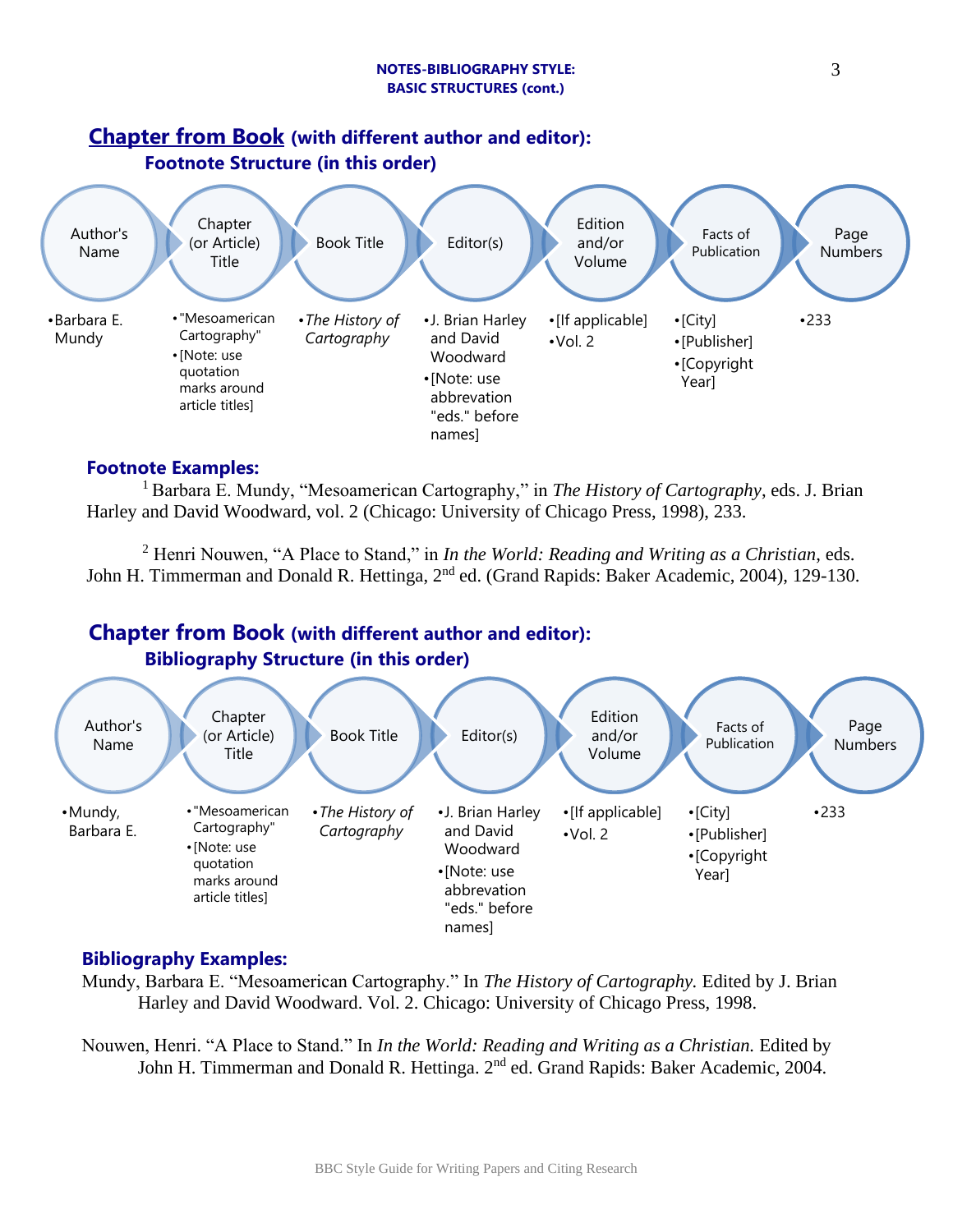

## **Footnote Examples:**

<sup>1</sup> Barbara E. Mundy, "Mesoamerican Cartography," in *The History of Cartography*, eds. J. Brian Harley and David Woodward, vol. 2 (Chicago: University of Chicago Press, 1998), 233.

<sup>2</sup> Henri Nouwen, "A Place to Stand," in *In the World: Reading and Writing as a Christian*, eds. John H. Timmerman and Donald R. Hettinga, 2<sup>nd</sup> ed. (Grand Rapids: Baker Academic, 2004), 129-130.

# **Chapter from Book (with different author and editor):**



# **Bibliography Examples:**

Mundy, Barbara E. "Mesoamerican Cartography." In *The History of Cartography.* Edited by J. Brian Harley and David Woodward. Vol. 2. Chicago: University of Chicago Press, 1998.

Nouwen, Henri. "A Place to Stand." In *In the World: Reading and Writing as a Christian.* Edited by John H. Timmerman and Donald R. Hettinga. 2<sup>nd</sup> ed. Grand Rapids: Baker Academic, 2004.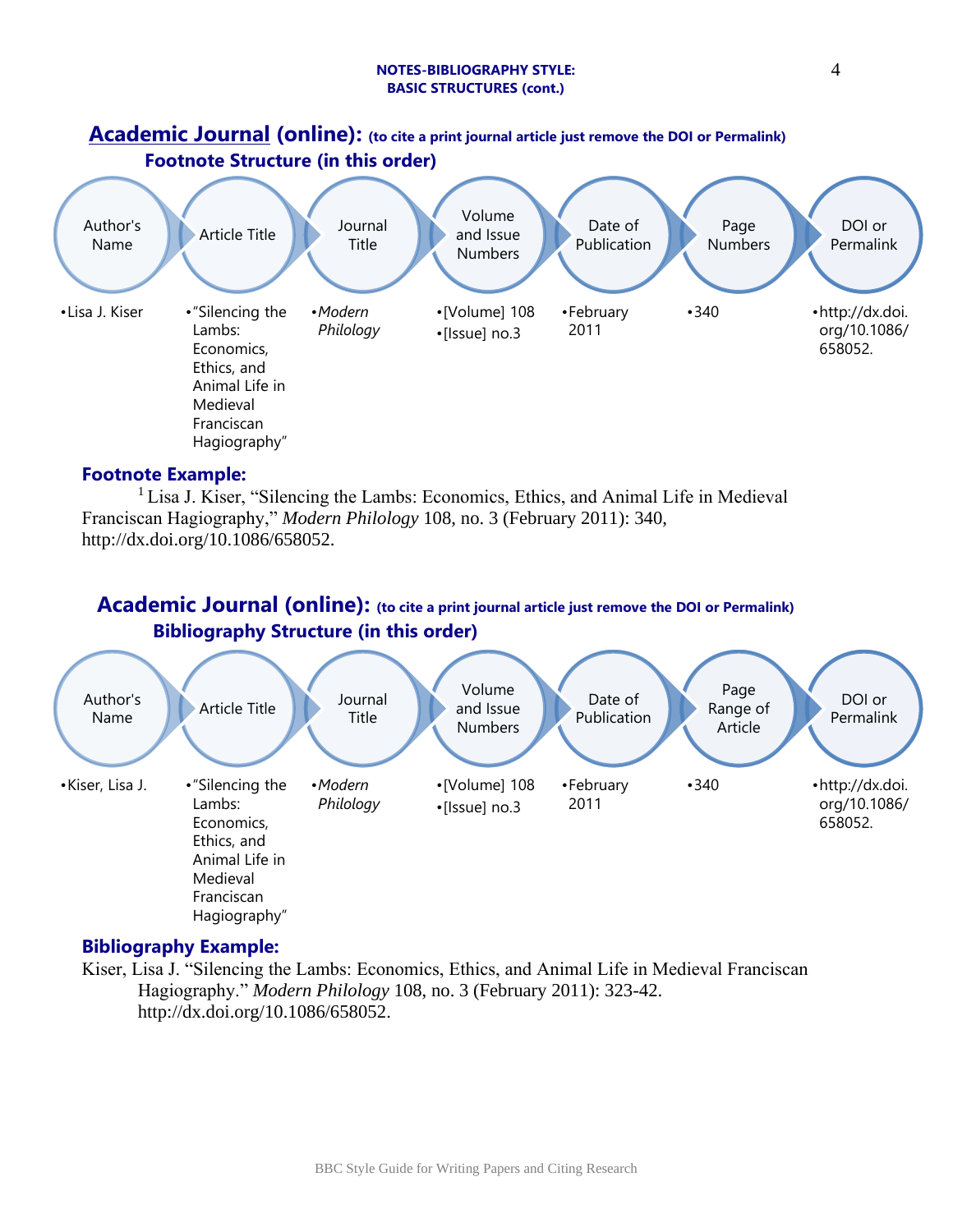#### **NOTES-BIBLIOGRAPHY STYLE: BASIC STRUCTURES (cont.)**



### **Footnote Example:**

<sup>1</sup> Lisa J. Kiser, "Silencing the Lambs: Economics, Ethics, and Animal Life in Medieval Franciscan Hagiography," *Modern Philology* 108, no. 3 (February 2011): 340, http://dx.doi.org/10.1086/658052.

# **Academic Journal (online): (to cite a print journal article just remove the DOI or Permalink) Bibliography Structure (in this order)**



# **Bibliography Example:**

Kiser, Lisa J. "Silencing the Lambs: Economics, Ethics, and Animal Life in Medieval Franciscan Hagiography." *Modern Philology* 108, no. 3 (February 2011): 323-42. http://dx.doi.org/10.1086/658052.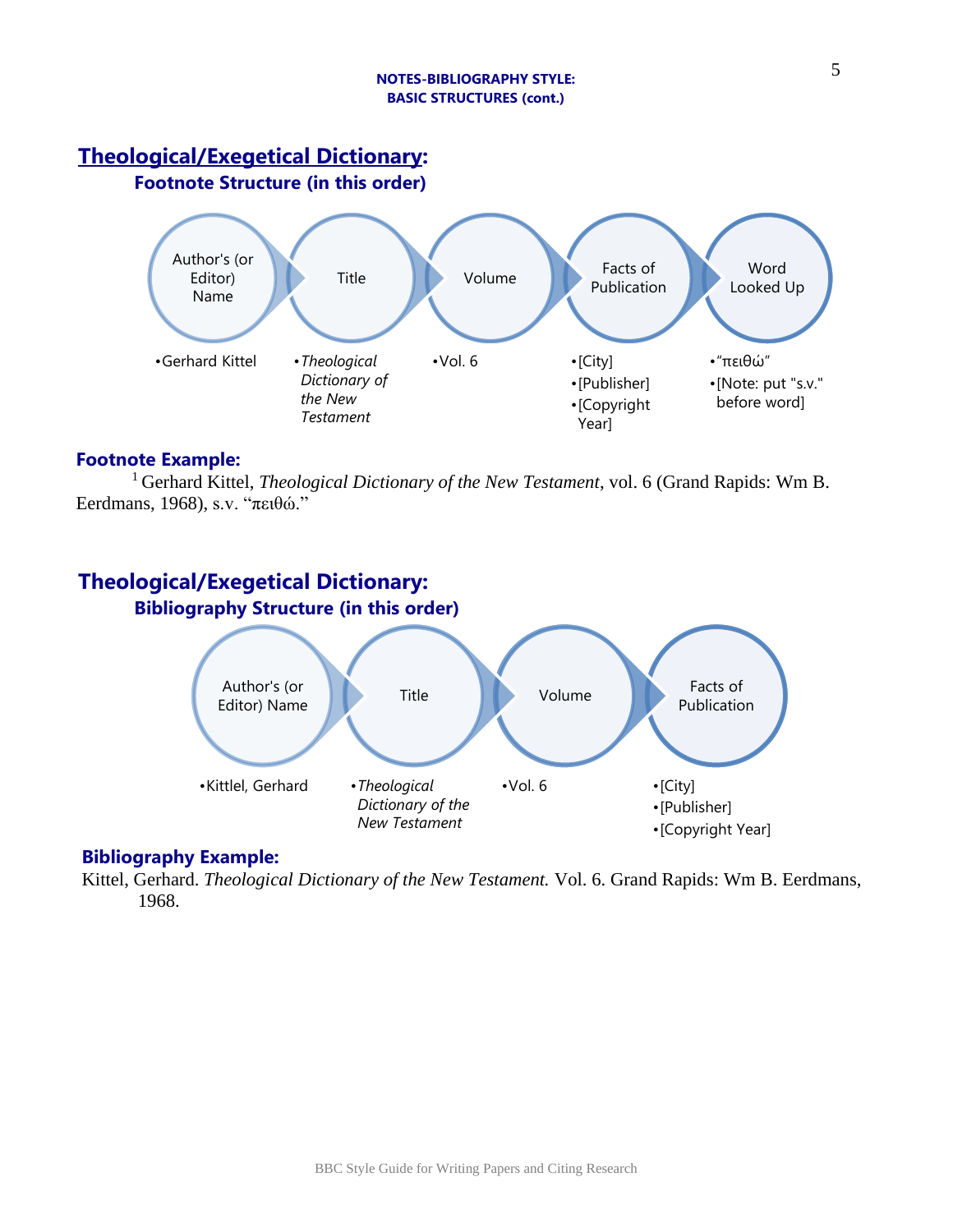#### **NOTES-BIBLIOGRAPHY STYLE: BASIC STRUCTURES (cont.)**

# **Theological/Exegetical Dictionary:**

**Footnote Structure (in this order)**



# **Footnote Example:**

<sup>1</sup> Gerhard Kittel, *Theological Dictionary of the New Testament*, vol. 6 (Grand Rapids: Wm B. Eerdmans, 1968), s.v. "πειθώ."

# **Theological/Exegetical Dictionary:**



# **Bibliography Example:**

Kittel, Gerhard. *Theological Dictionary of the New Testament.* Vol. 6. Grand Rapids: Wm B. Eerdmans, 1968.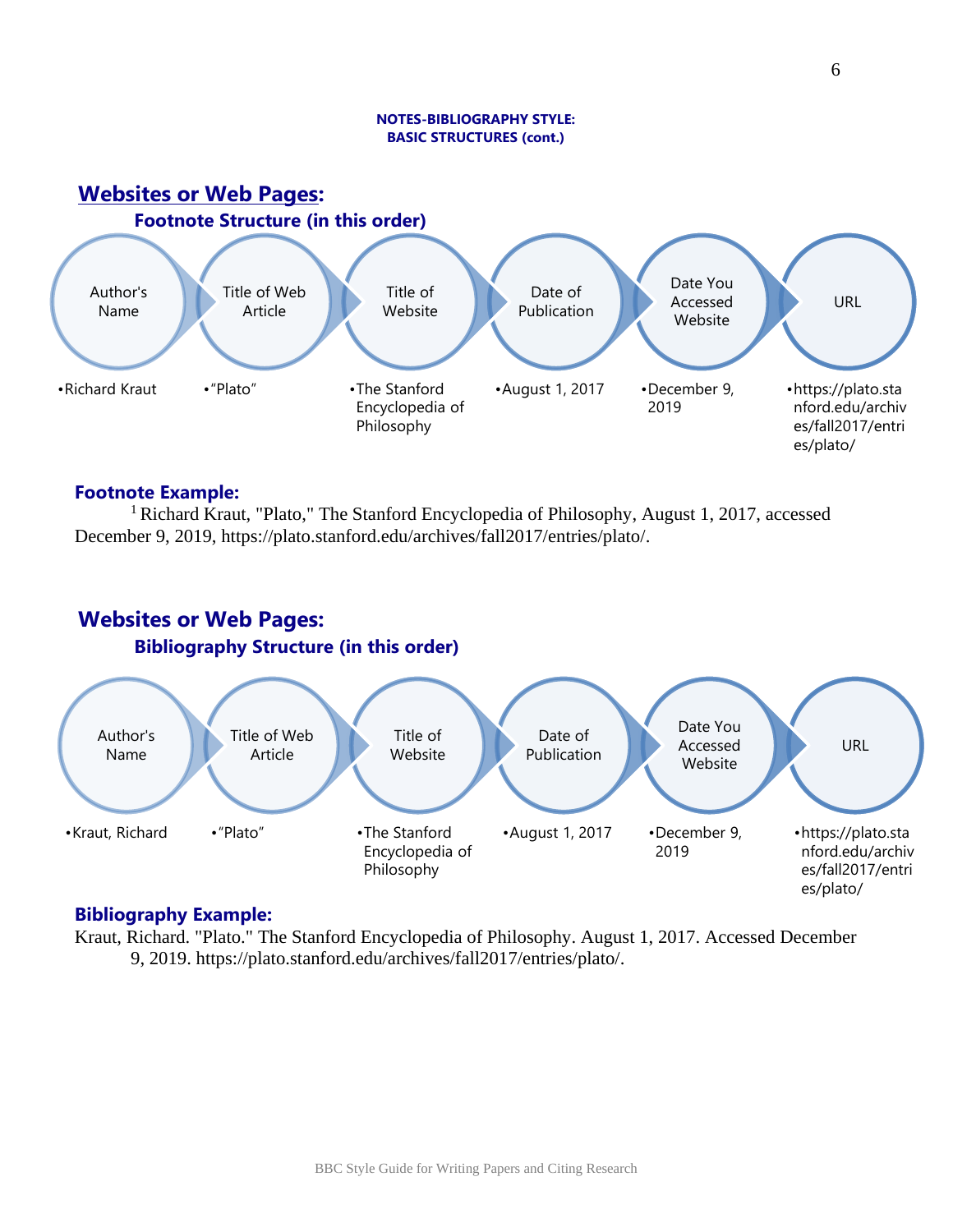#### **NOTES-BIBLIOGRAPHY STYLE: BASIC STRUCTURES (cont.)**



## **Footnote Example:**

<sup>1</sup> Richard Kraut, "Plato," The Stanford Encyclopedia of Philosophy, August 1, 2017, accessed December 9, 2019, https://plato.stanford.edu/archives/fall2017/entries/plato/.

# **Websites or Web Pages: Bibliography Structure (in this order)**



## **Bibliography Example:**

Kraut, Richard. "Plato." The Stanford Encyclopedia of Philosophy. August 1, 2017. Accessed December 9, 2019. https://plato.stanford.edu/archives/fall2017/entries/plato/.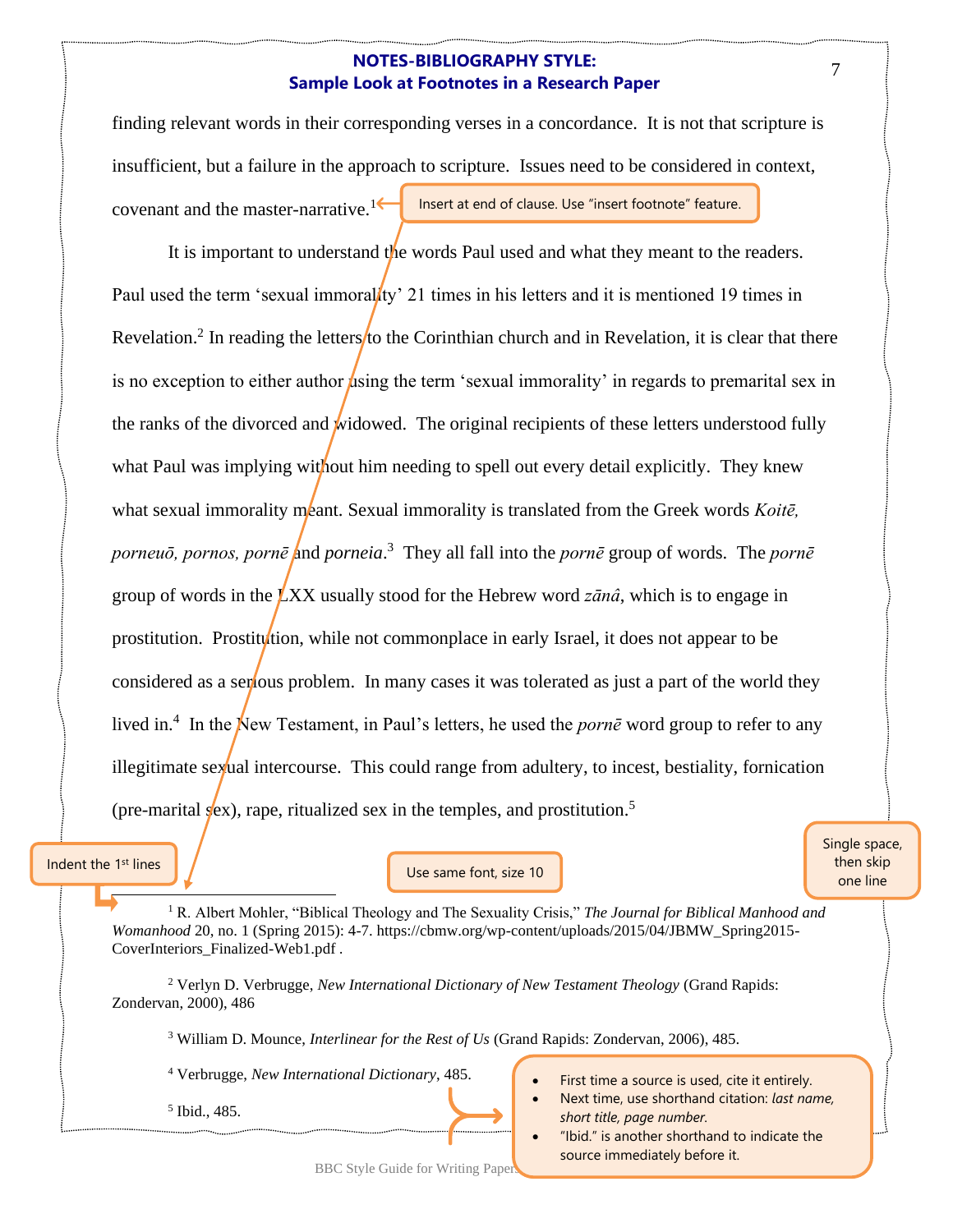## **NOTES-BIBLIOGRAPHY STYLE: Sample Look at Footnotes in a Research Paper**

finding relevant words in their corresponding verses in a concordance. It is not that scripture is insufficient, but a failure in the approach to scripture. Issues need to be considered in context, covenant and the master-narrative.<sup>1 $\leftarrow$ </sup> Insert at end of clause. Use "insert footnote" feature.

It is important to understand the words Paul used and what they meant to the readers. Paul used the term 'sexual immoral ty' 21 times in his letters and it is mentioned 19 times in Revelation.<sup>2</sup> In reading the letters to the Corinthian church and in Revelation, it is clear that there is no exception to either author using the term 'sexual immorality' in regards to premarital sex in the ranks of the divorced and widowed. The original recipients of these letters understood fully what Paul was implying without him needing to spell out every detail explicitly. They knew what sexual immorality meant. Sexual immorality is translated from the Greek words *Koite*, porneuō, pornos, pornē and porneia.<sup>3</sup> They all fall into the *pornē* group of words. The *pornē* group of words in the LXX usually stood for the Hebrew word *zānâ*, which is to engage in prostitution. Prostitution, while not commonplace in early Israel, it does not appear to be considered as a serious problem. In many cases it was tolerated as just a part of the world they lived in.<sup>4</sup> In the New Testament, in Paul's letters, he used the *porne* word group to refer to any illegitimate sexual intercourse. This could range from adultery, to incest, bestiality, fornication (pre-marital  $s$ ex), rape, ritualized sex in the temples, and prostitution.<sup>5</sup>

#### Indent the 1<sup>st</sup> lines

Use same font, size 10

Single space, then skip one line

<sup>1</sup> R. Albert Mohler, "Biblical Theology and The Sexuality Crisis," *The Journal for Biblical Manhood and Womanhood* 20, no. 1 (Spring 2015): 4-7. https://cbmw.org/wp-content/uploads/2015/04/JBMW\_Spring2015- CoverInteriors\_Finalized-Web1.pdf .

<sup>2</sup> Verlyn D. Verbrugge, *New International Dictionary of New Testament Theology* (Grand Rapids: Zondervan, 2000), 486

<sup>3</sup> William D. Mounce, *Interlinear for the Rest of Us* (Grand Rapids: Zondervan, 2006), 485.

<sup>4</sup> Verbrugge, *New International Dictionary*, 485.

5 Ibid., 485.

- First time a source is used, cite it entirely.
- Next time, use shorthand citation: *last name, short title, page number.*
- "Ibid." is another shorthand to indicate the source immediately before it.

BBC Style Guide for Writing Paper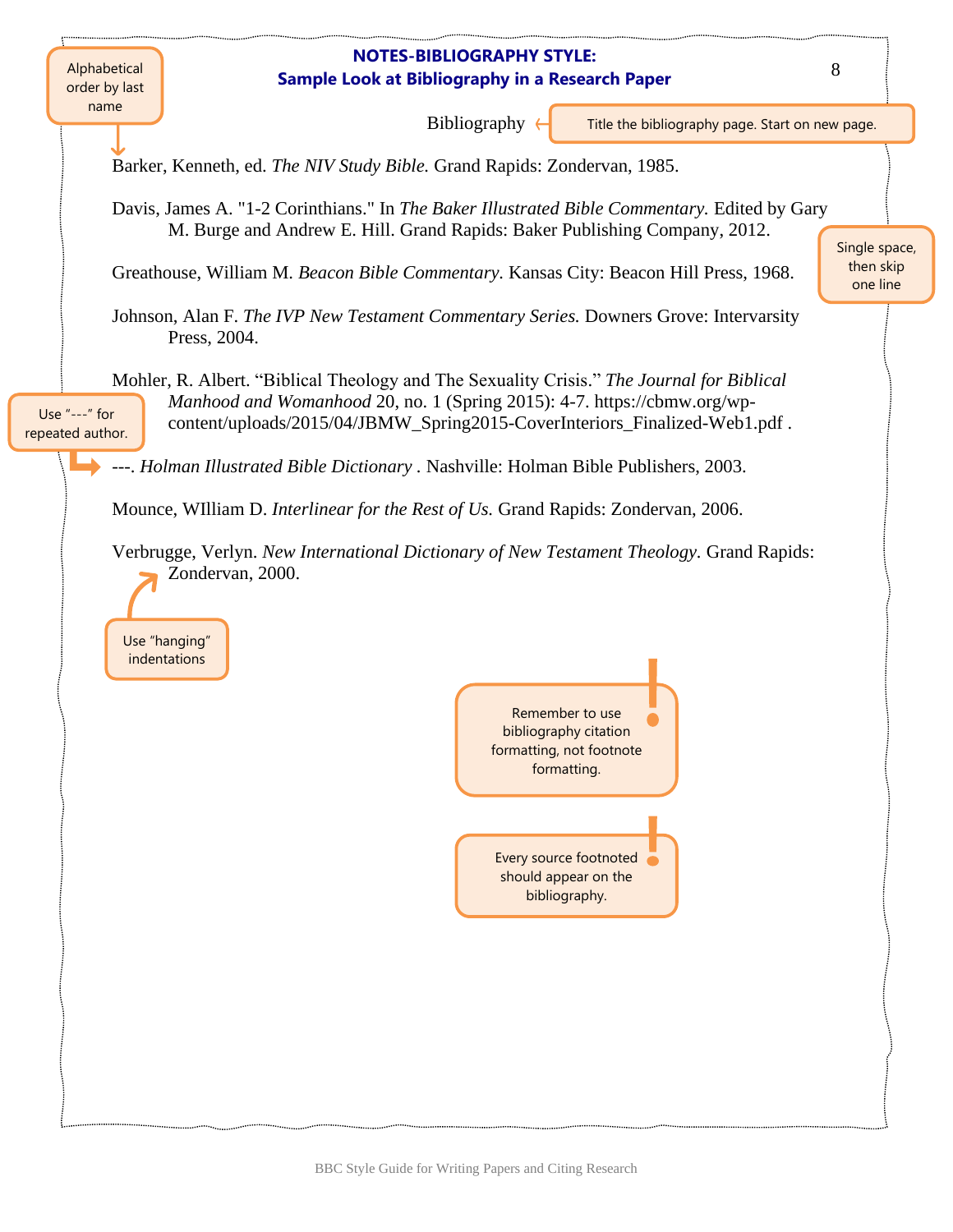### **NOTES-BIBLIOGRAPHY STYLE: Sample Look at Bibliography in a Research Paper**

Alphabetical order by last name

Bibliography

Title the bibliography page. Start on new page.

Barker, Kenneth, ed. *The NIV Study Bible.* Grand Rapids: Zondervan, 1985.

Davis, James A. "1-2 Corinthians." In *The Baker Illustrated Bible Commentary.* Edited by Gary M. Burge and Andrew E. Hill. Grand Rapids: Baker Publishing Company, 2012.

Greathouse, William M. *Beacon Bible Commentary.* Kansas City: Beacon Hill Press, 1968.

Johnson, Alan F. *The IVP New Testament Commentary Series.* Downers Grove: Intervarsity Press, 2004.

Mohler, R. Albert. "Biblical Theology and The Sexuality Crisis." *The Journal for Biblical Manhood and Womanhood* 20, no. 1 (Spring 2015): 4-7. https://cbmw.org/wpcontent/uploads/2015/04/JBMW\_Spring2015-CoverInteriors\_Finalized-Web1.pdf . Use "---" for repeated author.

---. *Holman Illustrated Bible Dictionary .* Nashville: Holman Bible Publishers, 2003.

Mounce, WIlliam D. *Interlinear for the Rest of Us.* Grand Rapids: Zondervan, 2006.

Verbrugge, Verlyn. *New International Dictionary of New Testament Theology.* Grand Rapids: Zondervan, 2000.

Use "hanging" indentations

> Remember to use bibliography citation formatting, not footnote formatting.

> > Every source footnoted should appear on the bibliography.

Single space, then skip one line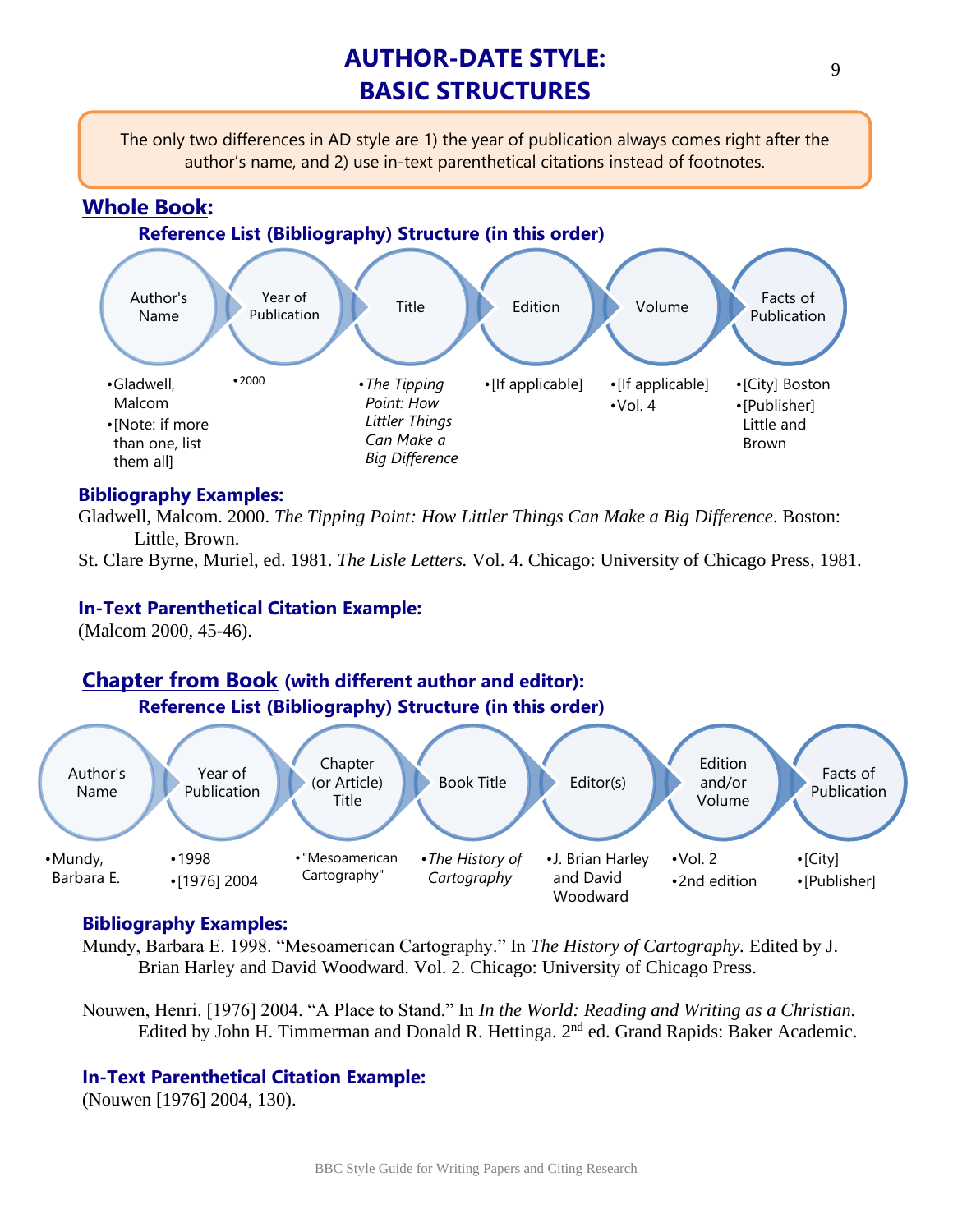# **AUTHOR-DATE STYLE: BASIC STRUCTURES**

The only two differences in AD style are 1) the year of publication always comes right after the author's name, and 2) use in-text parenthetical citations instead of footnotes.

# **Whole Book:**



# **Bibliography Examples:**

Gladwell, Malcom. 2000. *The Tipping Point: How Littler Things Can Make a Big Difference*. Boston: Little, Brown.

St. Clare Byrne, Muriel, ed. 1981. *The Lisle Letters.* Vol. 4. Chicago: University of Chicago Press, 1981.

# **In-Text Parenthetical Citation Example:**

(Malcom 2000, 45-46).

# **Chapter from Book (with different author and editor): Reference List (Bibliography) Structure (in this order)**



# **Bibliography Examples:**

Mundy, Barbara E. 1998. "Mesoamerican Cartography." In *The History of Cartography.* Edited by J. Brian Harley and David Woodward. Vol. 2. Chicago: University of Chicago Press.

Nouwen, Henri. [1976] 2004. "A Place to Stand." In *In the World: Reading and Writing as a Christian.* Edited by John H. Timmerman and Donald R. Hettinga. 2<sup>nd</sup> ed. Grand Rapids: Baker Academic.

# **In-Text Parenthetical Citation Example:**

(Nouwen [1976] 2004, 130).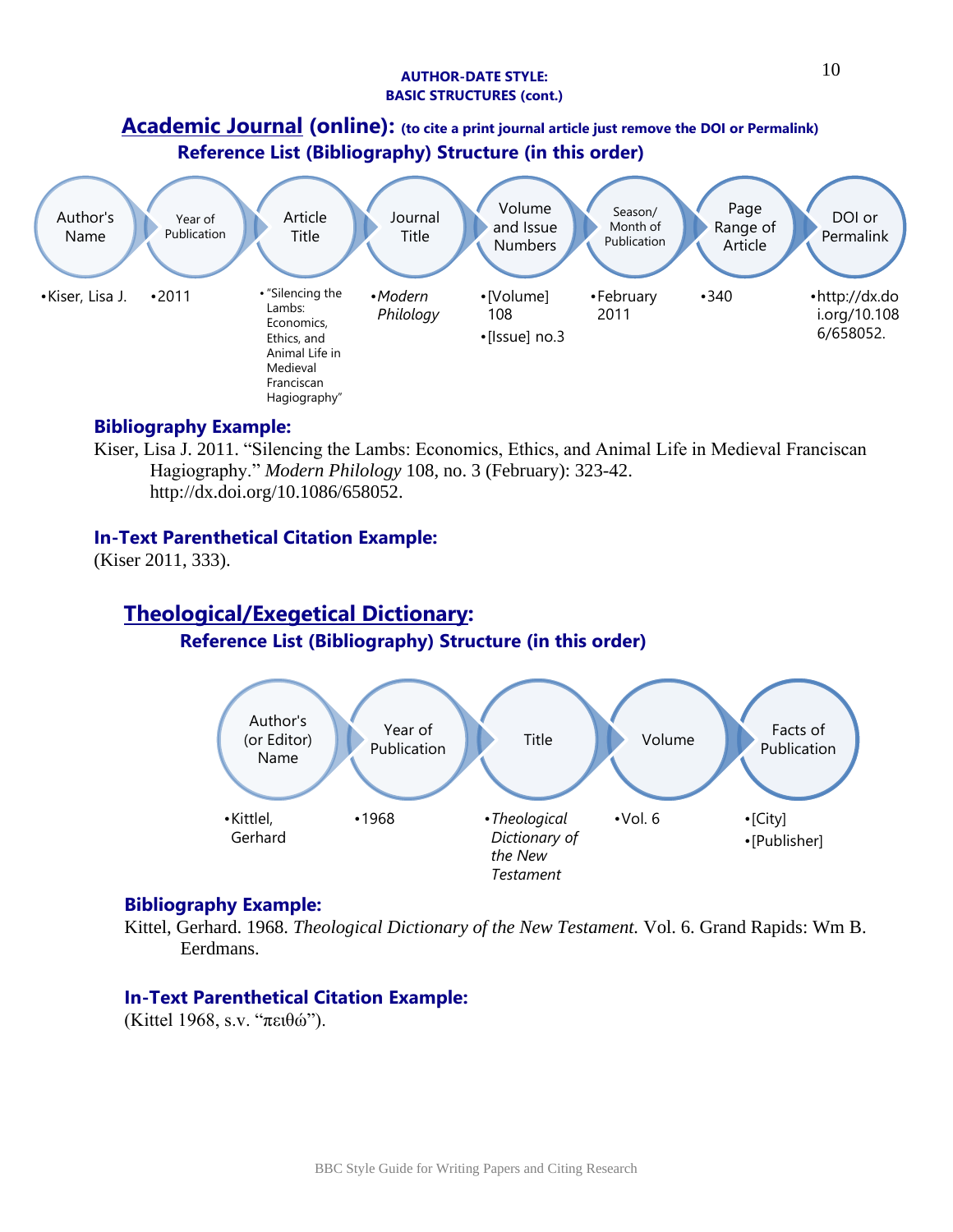#### **AUTHOR-DATE STYLE: BASIC STRUCTURES (cont.)**

# **Academic Journal (online): (to cite a print journal article just remove the DOI or Permalink) Reference List (Bibliography) Structure (in this order)**



# **Bibliography Example:**

Kiser, Lisa J. 2011. "Silencing the Lambs: Economics, Ethics, and Animal Life in Medieval Franciscan Hagiography." *Modern Philology* 108, no. 3 (February): 323-42. http://dx.doi.org/10.1086/658052.

# **In-Text Parenthetical Citation Example:**

(Kiser 2011, 333).

# **Theological/Exegetical Dictionary: Reference List (Bibliography) Structure (in this order)**



# **Bibliography Example:**

Kittel, Gerhard. 1968. *Theological Dictionary of the New Testament.* Vol. 6. Grand Rapids: Wm B. Eerdmans.

# **In-Text Parenthetical Citation Example:**

(Kittel 1968, s.v. "πειθώ").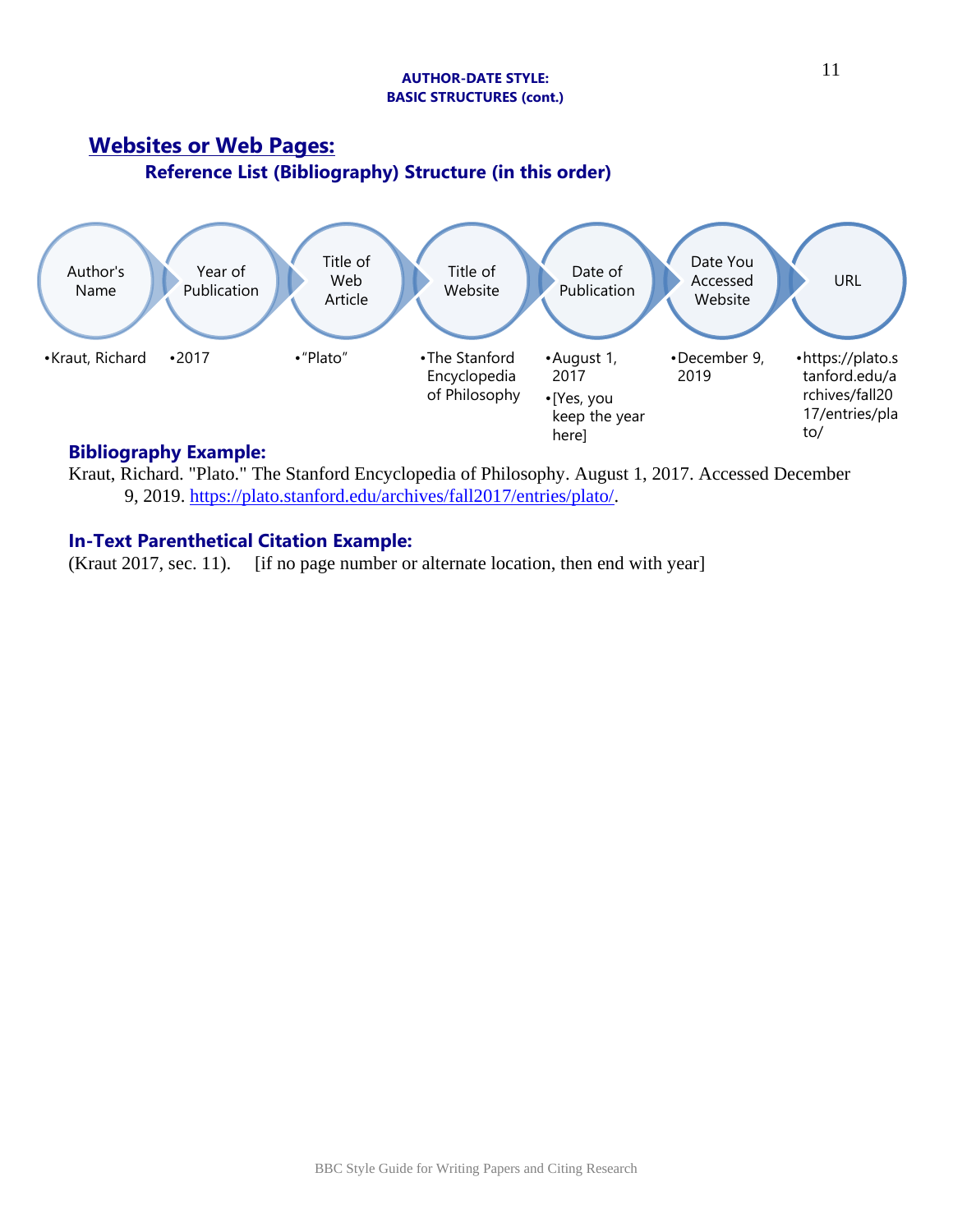#### **AUTHOR-DATE STYLE: BASIC STRUCTURES (cont.)**



# **Bibliography Example:**

Kraut, Richard. "Plato." The Stanford Encyclopedia of Philosophy. August 1, 2017. Accessed December 9, 2019. [https://plato.stanford.edu/archives/fall2017/entries/plato/.](https://plato.stanford.edu/archives/fall2017/entries/plato/)

# **In-Text Parenthetical Citation Example:**

(Kraut 2017, sec. 11). [if no page number or alternate location, then end with year]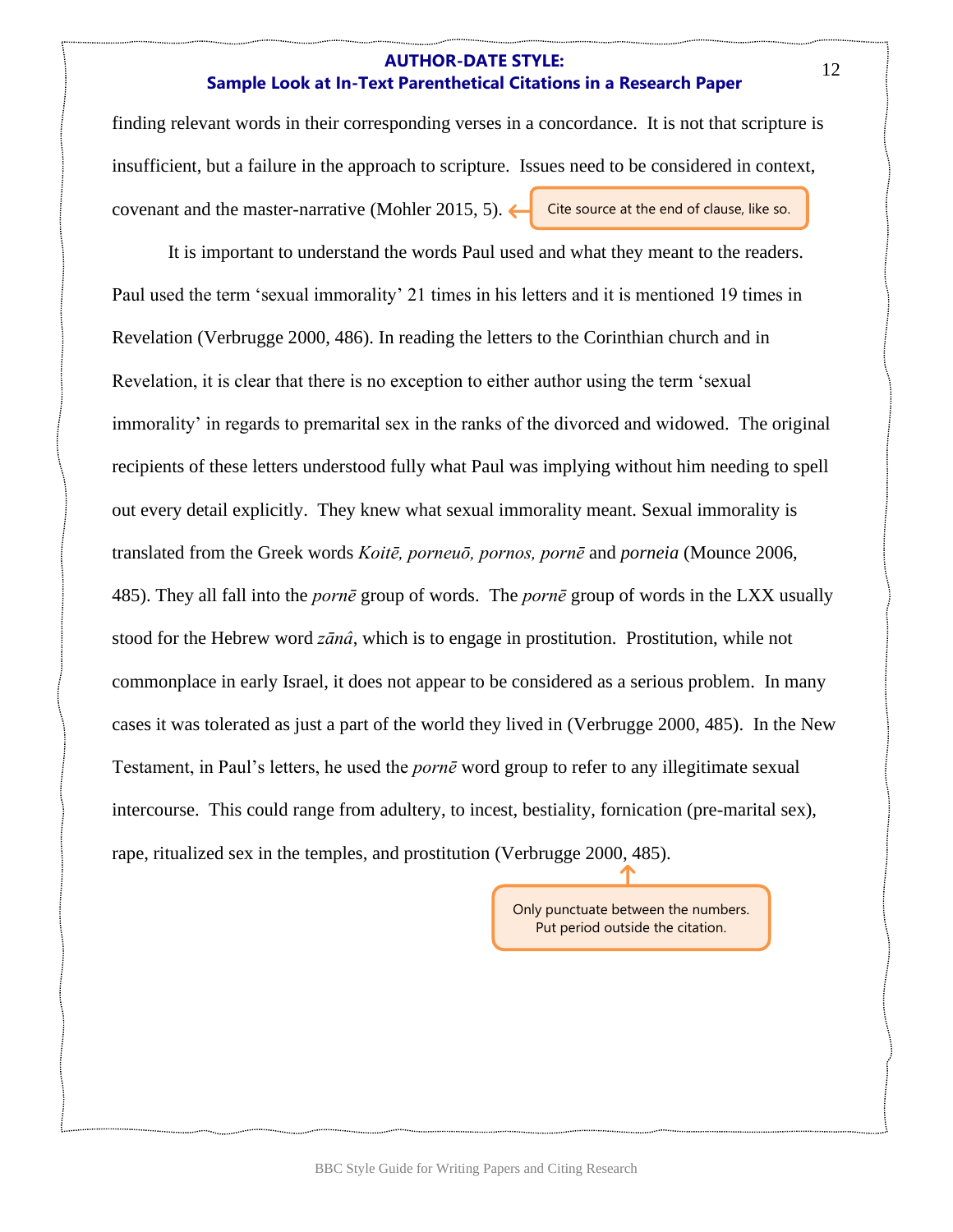## **AUTHOR-DATE STYLE: Sample Look at In-Text Parenthetical Citations in a Research Paper**

finding relevant words in their corresponding verses in a concordance. It is not that scripture is insufficient, but a failure in the approach to scripture. Issues need to be considered in context, covenant and the master-narrative (Mohler 2015, 5). Cite source at the end of clause, like so.

It is important to understand the words Paul used and what they meant to the readers. Paul used the term 'sexual immorality' 21 times in his letters and it is mentioned 19 times in Revelation (Verbrugge 2000, 486). In reading the letters to the Corinthian church and in Revelation, it is clear that there is no exception to either author using the term 'sexual immorality' in regards to premarital sex in the ranks of the divorced and widowed. The original recipients of these letters understood fully what Paul was implying without him needing to spell out every detail explicitly. They knew what sexual immorality meant. Sexual immorality is translated from the Greek words *Koitē, porneuō, pornos, pornē* and *porneia* (Mounce 2006, 485). They all fall into the *pornē* group of words. The *pornē* group of words in the LXX usually stood for the Hebrew word *zānâ*, which is to engage in prostitution. Prostitution, while not commonplace in early Israel, it does not appear to be considered as a serious problem. In many cases it was tolerated as just a part of the world they lived in (Verbrugge 2000, 485). In the New Testament, in Paul's letters, he used the *pornē* word group to refer to any illegitimate sexual intercourse. This could range from adultery, to incest, bestiality, fornication (pre-marital sex), rape, ritualized sex in the temples, and prostitution (Verbrugge 2000, 485).

> Only punctuate between the numbers. Put period outside the citation.